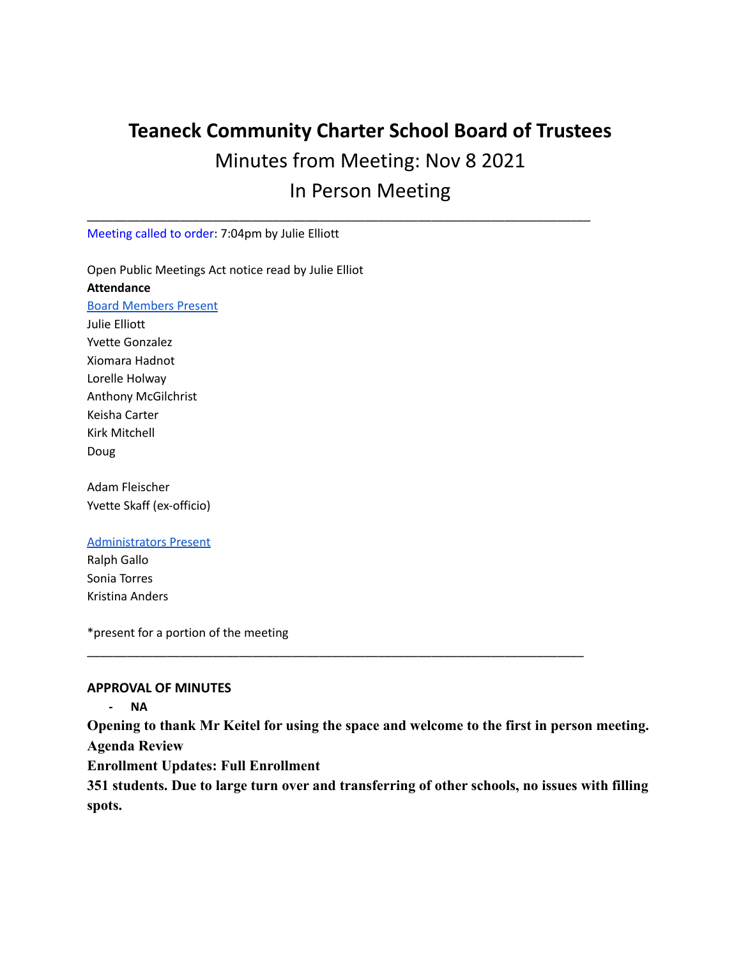# **Teaneck Community Charter School Board of Trustees** Minutes from Meeting: Nov 8 2021 In Person Meeting

\_\_\_\_\_\_\_\_\_\_\_\_\_\_\_\_\_\_\_\_\_\_\_\_\_\_\_\_\_\_\_\_\_\_\_\_\_\_\_\_\_\_\_\_\_\_\_\_\_\_\_\_\_\_\_\_\_\_\_\_\_\_\_\_\_\_\_\_\_\_\_\_\_\_\_\_

Meeting called to order: 7:04pm by Julie Elliott

Open Public Meetings Act notice read by Julie Elliot **Attendance** Board Members Present Julie Elliott Yvette Gonzalez Xiomara Hadnot Lorelle Holway Anthony McGilchrist Keisha Carter Kirk Mitchell Doug

Adam Fleischer Yvette Skaff (ex-officio)

#### Administrators Present

Ralph Gallo Sonia Torres Kristina Anders

\*present for a portion of the meeting

#### **APPROVAL OF MINUTES**

**- NA**

**Opening to thank Mr Keitel for using the space and welcome to the first in person meeting. Agenda Review**

\_\_\_\_\_\_\_\_\_\_\_\_\_\_\_\_\_\_\_\_\_\_\_\_\_\_\_\_\_\_\_\_\_\_\_\_\_\_\_\_\_\_\_\_\_\_\_\_\_\_\_\_\_\_\_\_\_\_\_\_\_\_\_\_\_\_\_\_\_\_\_\_\_\_\_

**Enrollment Updates: Full Enrollment**

**351 students. Due to large turn over and transferring of other schools, no issues with filling spots.**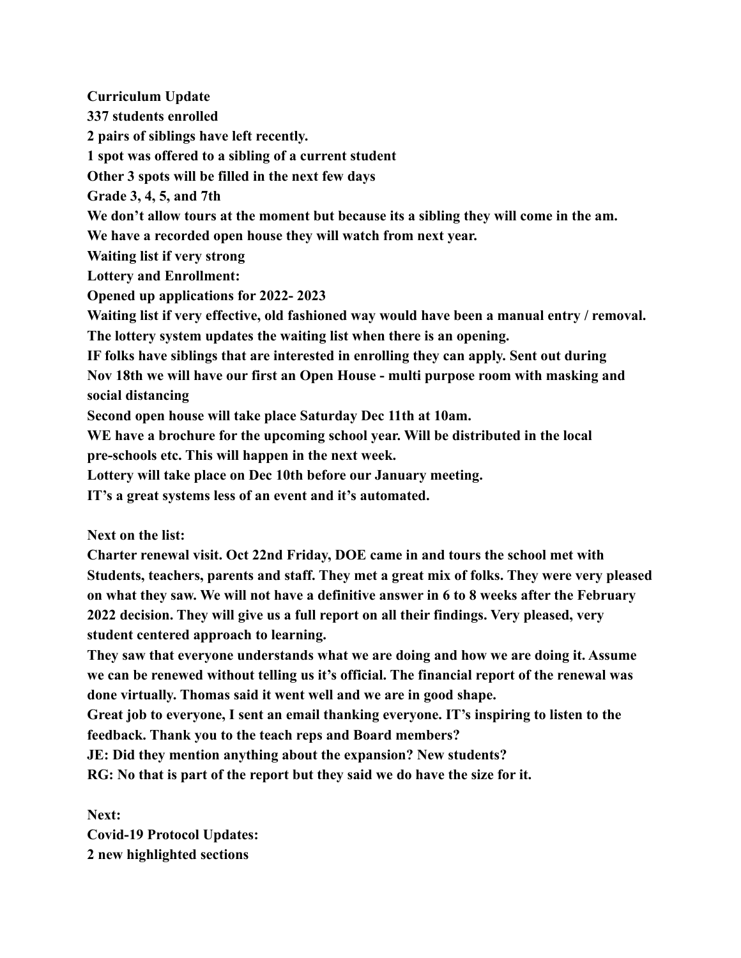**Curriculum Update**

**337 students enrolled**

**2 pairs of siblings have left recently.**

**1 spot was offered to a sibling of a current student**

**Other 3 spots will be filled in the next few days**

**Grade 3, 4, 5, and 7th**

**We don't allow tours at the moment but because its a sibling they will come in the am.**

**We have a recorded open house they will watch from next year.**

**Waiting list if very strong**

**Lottery and Enrollment:**

**Opened up applications for 2022- 2023**

**Waiting list if very effective, old fashioned way would have been a manual entry / removal. The lottery system updates the waiting list when there is an opening.**

**IF folks have siblings that are interested in enrolling they can apply. Sent out during Nov 18th we will have our first an Open House - multi purpose room with masking and social distancing**

**Second open house will take place Saturday Dec 11th at 10am.**

**WE have a brochure for the upcoming school year. Will be distributed in the local pre-schools etc. This will happen in the next week.**

**Lottery will take place on Dec 10th before our January meeting.**

**IT's a great systems less of an event and it's automated.**

**Next on the list:**

**Charter renewal visit. Oct 22nd Friday, DOE came in and tours the school met with Students, teachers, parents and staff. They met a great mix of folks. They were very pleased on what they saw. We will not have a definitive answer in 6 to 8 weeks after the February 2022 decision. They will give us a full report on all their findings. Very pleased, very student centered approach to learning.**

**They saw that everyone understands what we are doing and how we are doing it. Assume we can be renewed without telling us it's official. The financial report of the renewal was done virtually. Thomas said it went well and we are in good shape.**

**Great job to everyone, I sent an email thanking everyone. IT's inspiring to listen to the feedback. Thank you to the teach reps and Board members?**

**JE: Did they mention anything about the expansion? New students?**

**RG: No that is part of the report but they said we do have the size for it.**

**Next: Covid-19 Protocol Updates: 2 new highlighted sections**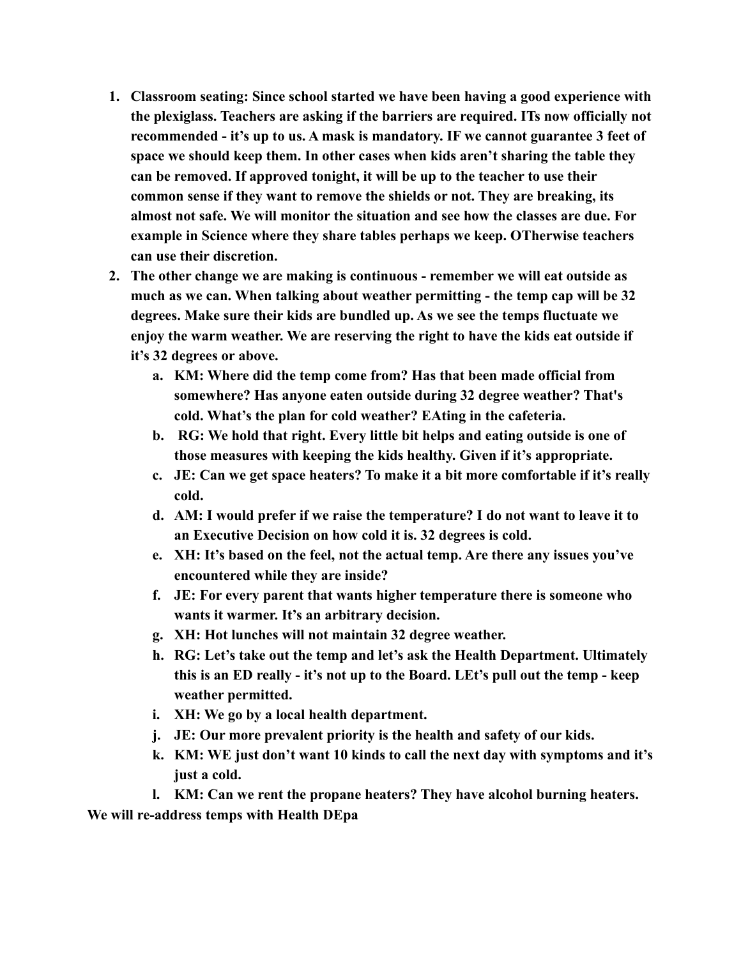- **1. Classroom seating: Since school started we have been having a good experience with the plexiglass. Teachers are asking if the barriers are required. ITs now officially not recommended - it's up to us. A mask is mandatory. IF we cannot guarantee 3 feet of space we should keep them. In other cases when kids aren't sharing the table they can be removed. If approved tonight, it will be up to the teacher to use their common sense if they want to remove the shields or not. They are breaking, its almost not safe. We will monitor the situation and see how the classes are due. For example in Science where they share tables perhaps we keep. OTherwise teachers can use their discretion.**
- **2. The other change we are making is continuous remember we will eat outside as much as we can. When talking about weather permitting - the temp cap will be 32 degrees. Make sure their kids are bundled up. As we see the temps fluctuate we enjoy the warm weather. We are reserving the right to have the kids eat outside if it's 32 degrees or above.**
	- **a. KM: Where did the temp come from? Has that been made official from somewhere? Has anyone eaten outside during 32 degree weather? That's cold. What's the plan for cold weather? EAting in the cafeteria.**
	- **b. RG: We hold that right. Every little bit helps and eating outside is one of those measures with keeping the kids healthy. Given if it's appropriate.**
	- **c. JE: Can we get space heaters? To make it a bit more comfortable if it's really cold.**
	- **d. AM: I would prefer if we raise the temperature? I do not want to leave it to an Executive Decision on how cold it is. 32 degrees is cold.**
	- **e. XH: It's based on the feel, not the actual temp. Are there any issues you've encountered while they are inside?**
	- **f. JE: For every parent that wants higher temperature there is someone who wants it warmer. It's an arbitrary decision.**
	- **g. XH: Hot lunches will not maintain 32 degree weather.**
	- **h. RG: Let's take out the temp and let's ask the Health Department. Ultimately this is an ED really - it's not up to the Board. LEt's pull out the temp - keep weather permitted.**
	- **i. XH: We go by a local health department.**
	- **j. JE: Our more prevalent priority is the health and safety of our kids.**
	- **k. KM: WE just don't want 10 kinds to call the next day with symptoms and it's just a cold.**
	- **l. KM: Can we rent the propane heaters? They have alcohol burning heaters.**

**We will re-address temps with Health DEpa**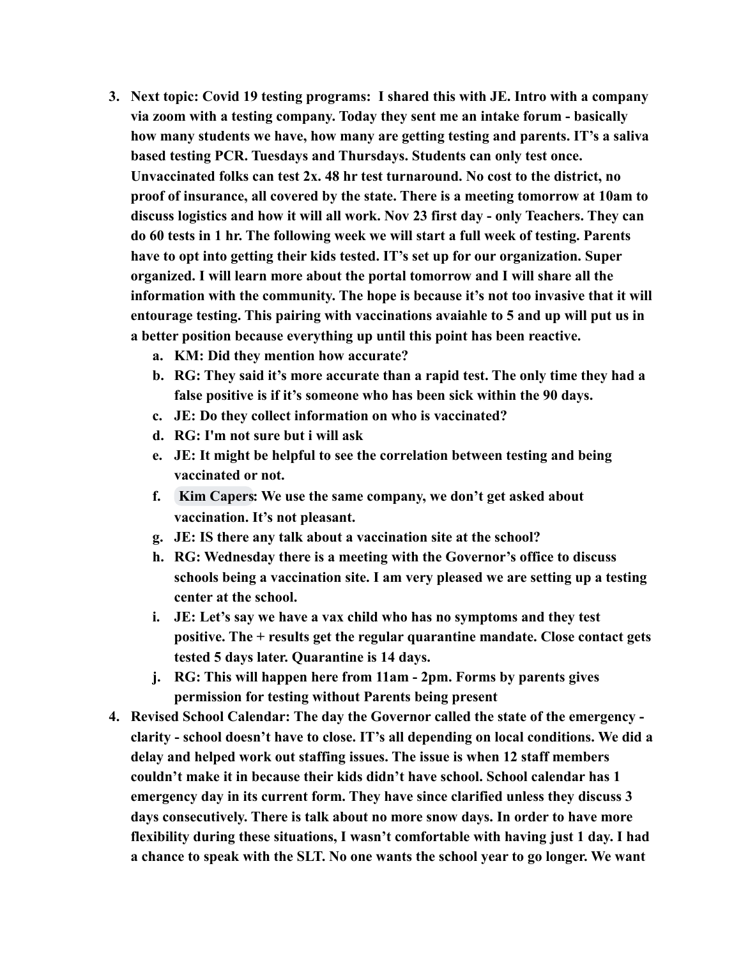- **3. Next topic: Covid 19 testing programs: I shared this with JE. Intro with a company via zoom with a testing company. Today they sent me an intake forum - basically how many students we have, how many are getting testing and parents. IT's a saliva based testing PCR. Tuesdays and Thursdays. Students can only test once. Unvaccinated folks can test 2x. 48 hr test turnaround. No cost to the district, no proof of insurance, all covered by the state. There is a meeting tomorrow at 10am to discuss logistics and how it will all work. Nov 23 first day - only Teachers. They can do 60 tests in 1 hr. The following week we will start a full week of testing. Parents have to opt into getting their kids tested. IT's set up for our organization. Super organized. I will learn more about the portal tomorrow and I will share all the information with the community. The hope is because it's not too invasive that it will entourage testing. This pairing with vaccinations avaiahle to 5 and up will put us in a better position because everything up until this point has been reactive.**
	- **a. KM: Did they mention how accurate?**
	- **b. RG: They said it's more accurate than a rapid test. The only time they had a false positive is if it's someone who has been sick within the 90 days.**
	- **c. JE: Do they collect information on who is vaccinated?**
	- **d. RG: I'm not sure but i will ask**
	- **e. JE: It might be helpful to see the correlation between testing and being vaccinated or not.**
	- **f. [Kim Capers](mailto:kcapers@tccsnj.org): We use the same company, we don't get asked about vaccination. It's not pleasant.**
	- **g. JE: IS there any talk about a vaccination site at the school?**
	- **h. RG: Wednesday there is a meeting with the Governor's office to discuss schools being a vaccination site. I am very pleased we are setting up a testing center at the school.**
	- **i. JE: Let's say we have a vax child who has no symptoms and they test positive. The + results get the regular quarantine mandate. Close contact gets tested 5 days later. Quarantine is 14 days.**
	- **j. RG: This will happen here from 11am 2pm. Forms by parents gives permission for testing without Parents being present**
- **4. Revised School Calendar: The day the Governor called the state of the emergency clarity - school doesn't have to close. IT's all depending on local conditions. We did a delay and helped work out staffing issues. The issue is when 12 staff members couldn't make it in because their kids didn't have school. School calendar has 1 emergency day in its current form. They have since clarified unless they discuss 3 days consecutively. There is talk about no more snow days. In order to have more flexibility during these situations, I wasn't comfortable with having just 1 day. I had a chance to speak with the SLT. No one wants the school year to go longer. We want**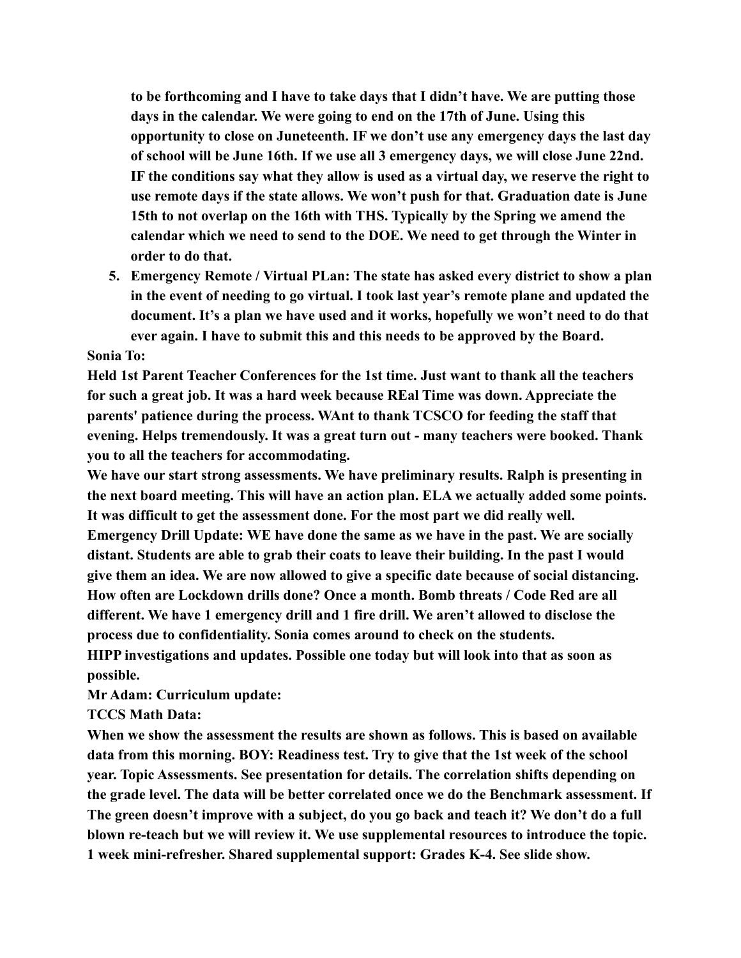**to be forthcoming and I have to take days that I didn't have. We are putting those days in the calendar. We were going to end on the 17th of June. Using this opportunity to close on Juneteenth. IF we don't use any emergency days the last day of school will be June 16th. If we use all 3 emergency days, we will close June 22nd. IF the conditions say what they allow is used as a virtual day, we reserve the right to use remote days if the state allows. We won't push for that. Graduation date is June 15th to not overlap on the 16th with THS. Typically by the Spring we amend the calendar which we need to send to the DOE. We need to get through the Winter in order to do that.**

**5. Emergency Remote / Virtual PLan: The state has asked every district to show a plan in the event of needing to go virtual. I took last year's remote plane and updated the document. It's a plan we have used and it works, hopefully we won't need to do that ever again. I have to submit this and this needs to be approved by the Board.**

# **Sonia To:**

**Held 1st Parent Teacher Conferences for the 1st time. Just want to thank all the teachers for such a great job. It was a hard week because REal Time was down. Appreciate the parents' patience during the process. WAnt to thank TCSCO for feeding the staff that evening. Helps tremendously. It was a great turn out - many teachers were booked. Thank you to all the teachers for accommodating.**

**We have our start strong assessments. We have preliminary results. Ralph is presenting in the next board meeting. This will have an action plan. ELA we actually added some points. It was difficult to get the assessment done. For the most part we did really well. Emergency Drill Update: WE have done the same as we have in the past. We are socially distant. Students are able to grab their coats to leave their building. In the past I would give them an idea. We are now allowed to give a specific date because of social distancing. How often are Lockdown drills done? Once a month. Bomb threats / Code Red are all different. We have 1 emergency drill and 1 fire drill. We aren't allowed to disclose the process due to confidentiality. Sonia comes around to check on the students. HIPP investigations and updates. Possible one today but will look into that as soon as possible.**

**Mr Adam: Curriculum update:**

## **TCCS Math Data:**

**When we show the assessment the results are shown as follows. This is based on available data from this morning. BOY: Readiness test. Try to give that the 1st week of the school year. Topic Assessments. See presentation for details. The correlation shifts depending on the grade level. The data will be better correlated once we do the Benchmark assessment. If The green doesn't improve with a subject, do you go back and teach it? We don't do a full blown re-teach but we will review it. We use supplemental resources to introduce the topic. 1 week mini-refresher. Shared supplemental support: Grades K-4. See slide show.**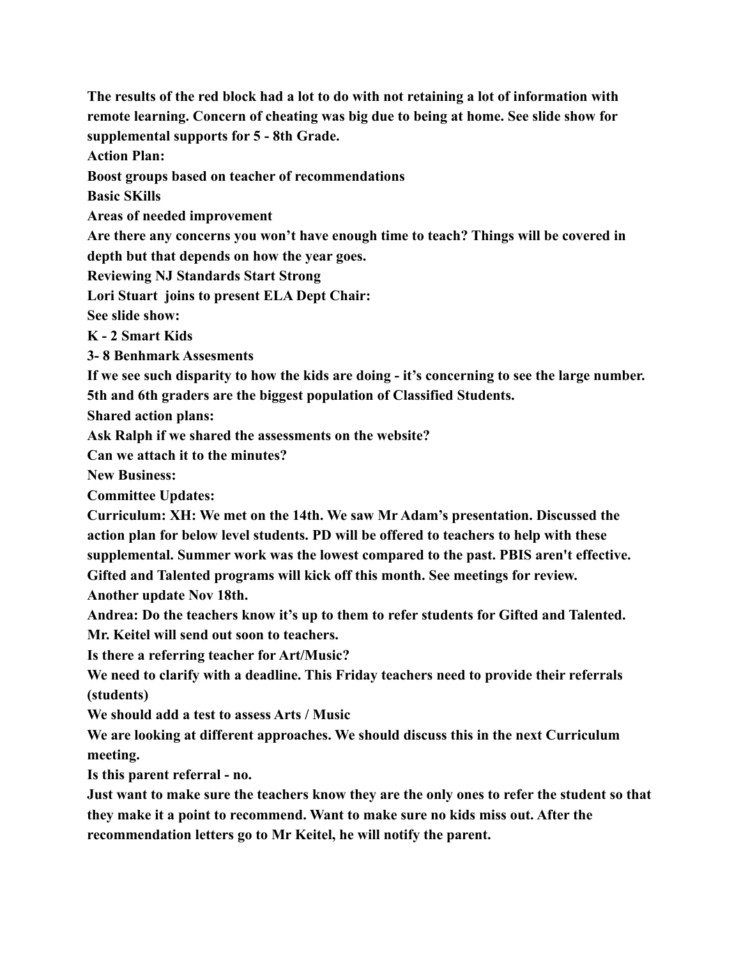**The results of the red block had a lot to do with not retaining a lot of information with remote learning. Concern of cheating was big due to being at home. See slide show for supplemental supports for 5 - 8th Grade.**

**Action Plan:**

**Boost groups based on teacher of recommendations**

**Basic SKills**

**Areas of needed improvement**

**Are there any concerns you won't have enough time to teach? Things will be covered in depth but that depends on how the year goes.**

**Reviewing NJ Standards Start Strong**

**Lori Stuart joins to present ELA Dept Chair:**

**See slide show:**

**K - 2 Smart Kids**

**3- 8 Benhmark Assesments**

**If we see such disparity to how the kids are doing - it's concerning to see the large number. 5th and 6th graders are the biggest population of Classified Students.**

**Shared action plans:**

**Ask Ralph if we shared the assessments on the website?**

**Can we attach it to the minutes?**

**New Business:**

**Committee Updates:**

**Curriculum: XH: We met on the 14th. We saw Mr Adam's presentation. Discussed the action plan for below level students. PD will be offered to teachers to help with these supplemental. Summer work was the lowest compared to the past. PBIS aren't effective. Gifted and Talented programs will kick off this month. See meetings for review. Another update Nov 18th.**

**Andrea: Do the teachers know it's up to them to refer students for Gifted and Talented. Mr. Keitel will send out soon to teachers.**

**Is there a referring teacher for Art/Music?**

**We need to clarify with a deadline. This Friday teachers need to provide their referrals (students)**

**We should add a test to assess Arts / Music**

**We are looking at different approaches. We should discuss this in the next Curriculum meeting.**

**Is this parent referral - no.**

**Just want to make sure the teachers know they are the only ones to refer the student so that they make it a point to recommend. Want to make sure no kids miss out. After the recommendation letters go to Mr Keitel, he will notify the parent.**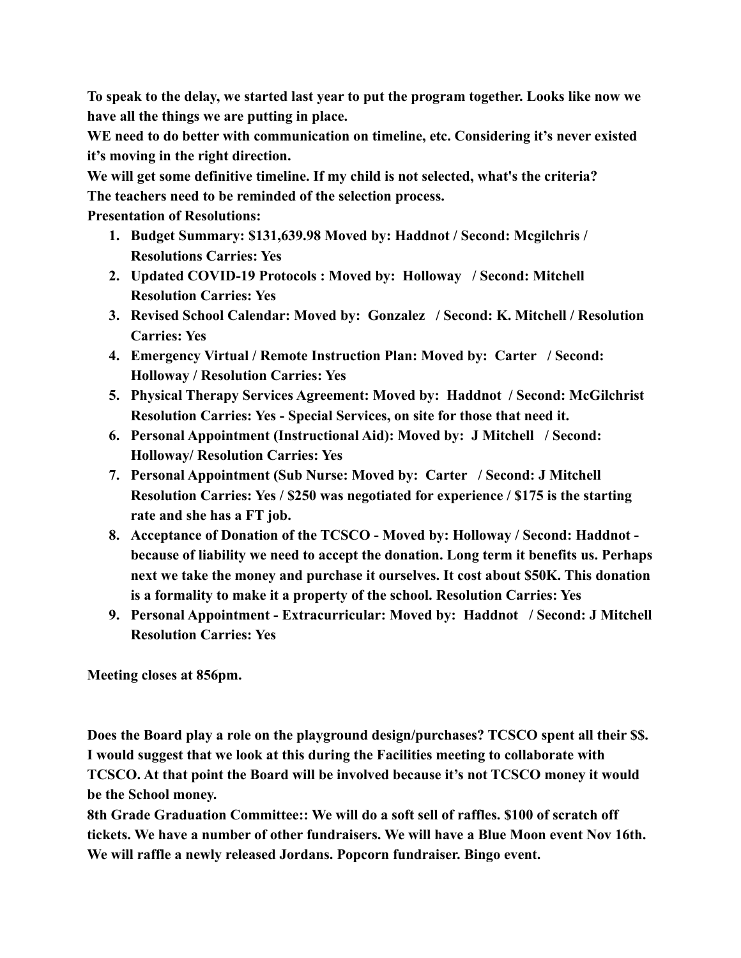**To speak to the delay, we started last year to put the program together. Looks like now we have all the things we are putting in place.**

**WE need to do better with communication on timeline, etc. Considering it's never existed it's moving in the right direction.**

**We will get some definitive timeline. If my child is not selected, what's the criteria? The teachers need to be reminded of the selection process.**

**Presentation of Resolutions:**

- **1. Budget Summary: \$131,639.98 Moved by: Haddnot / Second: Mcgilchris / Resolutions Carries: Yes**
- **2. Updated COVID-19 Protocols : Moved by: Holloway / Second: Mitchell Resolution Carries: Yes**
- **3. Revised School Calendar: Moved by: Gonzalez / Second: K. Mitchell / Resolution Carries: Yes**
- **4. Emergency Virtual / Remote Instruction Plan: Moved by: Carter / Second: Holloway / Resolution Carries: Yes**
- **5. Physical Therapy Services Agreement: Moved by: Haddnot / Second: McGilchrist Resolution Carries: Yes - Special Services, on site for those that need it.**
- **6. Personal Appointment (Instructional Aid): Moved by: J Mitchell / Second: Holloway/ Resolution Carries: Yes**
- **7. Personal Appointment (Sub Nurse: Moved by: Carter / Second: J Mitchell Resolution Carries: Yes / \$250 was negotiated for experience / \$175 is the starting rate and she has a FT job.**
- **8. Acceptance of Donation of the TCSCO Moved by: Holloway / Second: Haddnot because of liability we need to accept the donation. Long term it benefits us. Perhaps next we take the money and purchase it ourselves. It cost about \$50K. This donation is a formality to make it a property of the school. Resolution Carries: Yes**
- **9. Personal Appointment Extracurricular: Moved by: Haddnot / Second: J Mitchell Resolution Carries: Yes**

**Meeting closes at 856pm.**

**Does the Board play a role on the playground design/purchases? TCSCO spent all their \$\$. I would suggest that we look at this during the Facilities meeting to collaborate with TCSCO. At that point the Board will be involved because it's not TCSCO money it would be the School money.**

**8th Grade Graduation Committee:: We will do a soft sell of raffles. \$100 of scratch off tickets. We have a number of other fundraisers. We will have a Blue Moon event Nov 16th. We will raffle a newly released Jordans. Popcorn fundraiser. Bingo event.**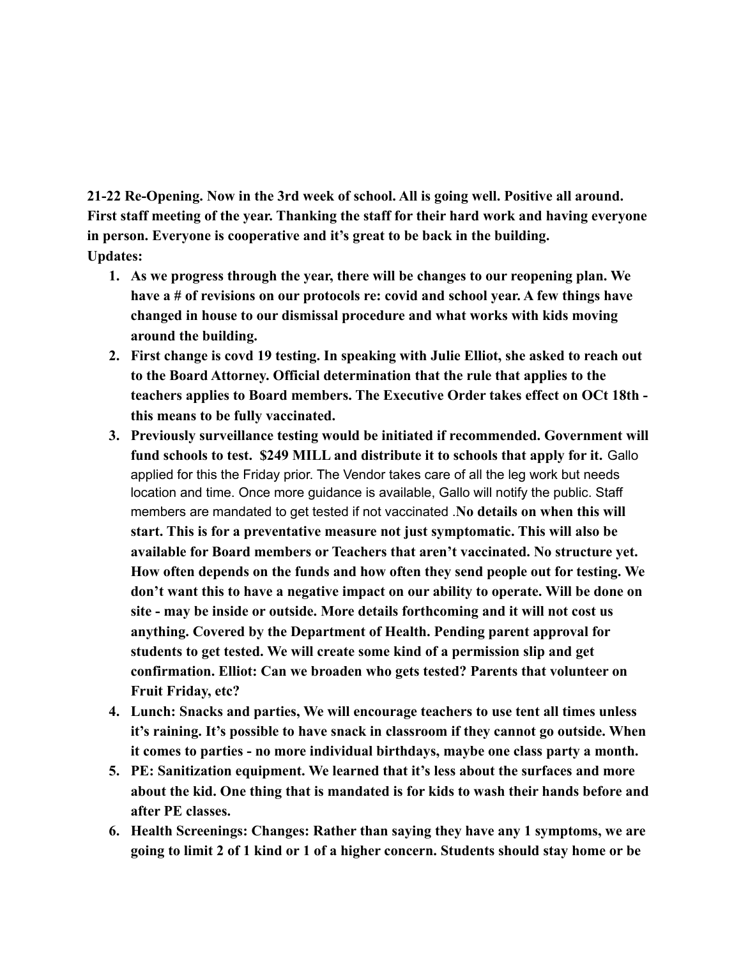**21-22 Re-Opening. Now in the 3rd week of school. All is going well. Positive all around. First staff meeting of the year. Thanking the staff for their hard work and having everyone in person. Everyone is cooperative and it's great to be back in the building. Updates:**

- **1. As we progress through the year, there will be changes to our reopening plan. We have a # of revisions on our protocols re: covid and school year. A few things have changed in house to our dismissal procedure and what works with kids moving around the building.**
- **2. First change is covd 19 testing. In speaking with Julie Elliot, she asked to reach out to the Board Attorney. Official determination that the rule that applies to the teachers applies to Board members. The Executive Order takes effect on OCt 18th this means to be fully vaccinated.**
- **3. Previously surveillance testing would be initiated if recommended. Government will fund schools to test. \$249 MILL and distribute it to schools that apply for it.** Gallo applied for this the Friday prior. The Vendor takes care of all the leg work but needs location and time. Once more guidance is available, Gallo will notify the public. Staff members are mandated to get tested if not vaccinated .**No details on when this will start. This is for a preventative measure not just symptomatic. This will also be available for Board members or Teachers that aren't vaccinated. No structure yet. How often depends on the funds and how often they send people out for testing. We don't want this to have a negative impact on our ability to operate. Will be done on site - may be inside or outside. More details forthcoming and it will not cost us anything. Covered by the Department of Health. Pending parent approval for students to get tested. We will create some kind of a permission slip and get confirmation. Elliot: Can we broaden who gets tested? Parents that volunteer on Fruit Friday, etc?**
- **4. Lunch: Snacks and parties, We will encourage teachers to use tent all times unless it's raining. It's possible to have snack in classroom if they cannot go outside. When it comes to parties - no more individual birthdays, maybe one class party a month.**
- **5. PE: Sanitization equipment. We learned that it's less about the surfaces and more about the kid. One thing that is mandated is for kids to wash their hands before and after PE classes.**
- **6. Health Screenings: Changes: Rather than saying they have any 1 symptoms, we are going to limit 2 of 1 kind or 1 of a higher concern. Students should stay home or be**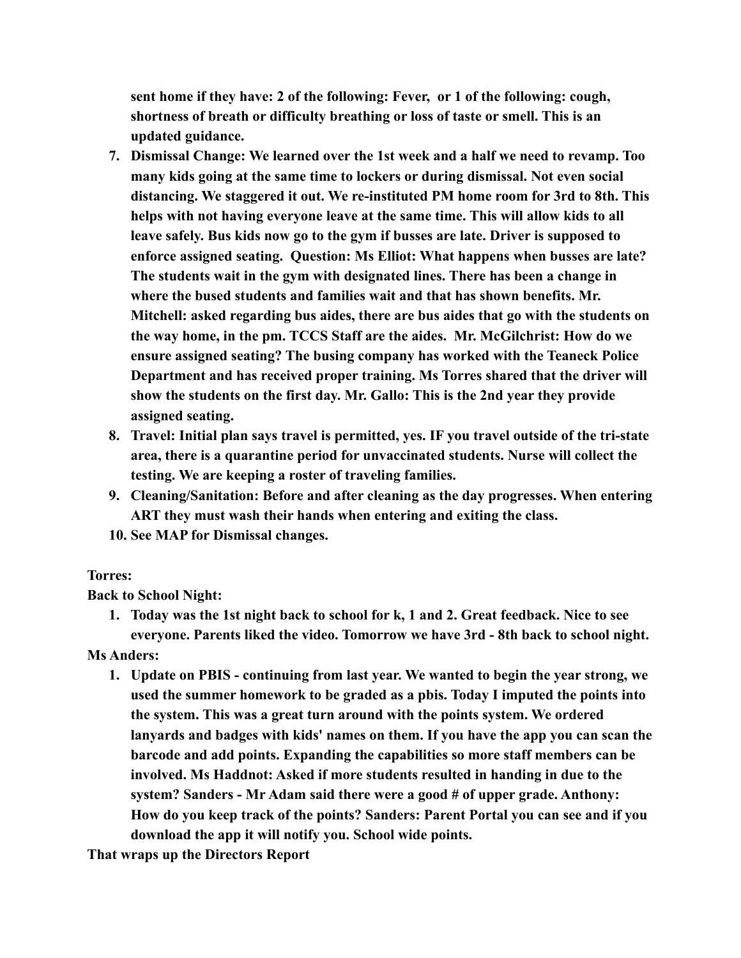**sent home if they have: 2 of the following: Fever, or 1 of the following: cough, shortness of breath or difficulty breathing or loss of taste or smell. This is an updated guidance.**

- **7. Dismissal Change: We learned over the 1st week and a half we need to revamp. Too many kids going at the same time to lockers or during dismissal. Not even social distancing. We staggered it out. We re-instituted PM home room for 3rd to 8th. This helps with not having everyone leave at the same time. This will allow kids to all leave safely. Bus kids now go to the gym if busses are late. Driver is supposed to enforce assigned seating. Question: Ms Elliot: What happens when busses are late? The students wait in the gym with designated lines. There has been a change in where the bused students and families wait and that has shown benefits. Mr. Mitchell: asked regarding bus aides, there are bus aides that go with the students on the way home, in the pm. TCCS Staff are the aides. Mr. McGilchrist: How do we ensure assigned seating? The busing company has worked with the Teaneck Police Department and has received proper training. Ms Torres shared that the driver will show the students on the first day. Mr. Gallo: This is the 2nd year they provide assigned seating.**
- **8. Travel: Initial plan says travel is permitted, yes. IF you travel outside of the tri-state area, there is a quarantine period for unvaccinated students. Nurse will collect the testing. We are keeping a roster of traveling families.**
- **9. Cleaning/Sanitation: Before and after cleaning as the day progresses. When entering ART they must wash their hands when entering and exiting the class.**
- **10. See MAP for Dismissal changes.**

# **Torres:**

**Back to School Night:**

**1. Today was the 1st night back to school for k, 1 and 2. Great feedback. Nice to see everyone. Parents liked the video. Tomorrow we have 3rd - 8th back to school night.**

# **Ms Anders:**

**1. Update on PBIS - continuing from last year. We wanted to begin the year strong, we used the summer homework to be graded as a pbis. Today I imputed the points into the system. This was a great turn around with the points system. We ordered lanyards and badges with kids' names on them. If you have the app you can scan the barcode and add points. Expanding the capabilities so more staff members can be involved. Ms Haddnot: Asked if more students resulted in handing in due to the system? Sanders - Mr Adam said there were a good # of upper grade. Anthony: How do you keep track of the points? Sanders: Parent Portal you can see and if you download the app it will notify you. School wide points.**

**That wraps up the Directors Report**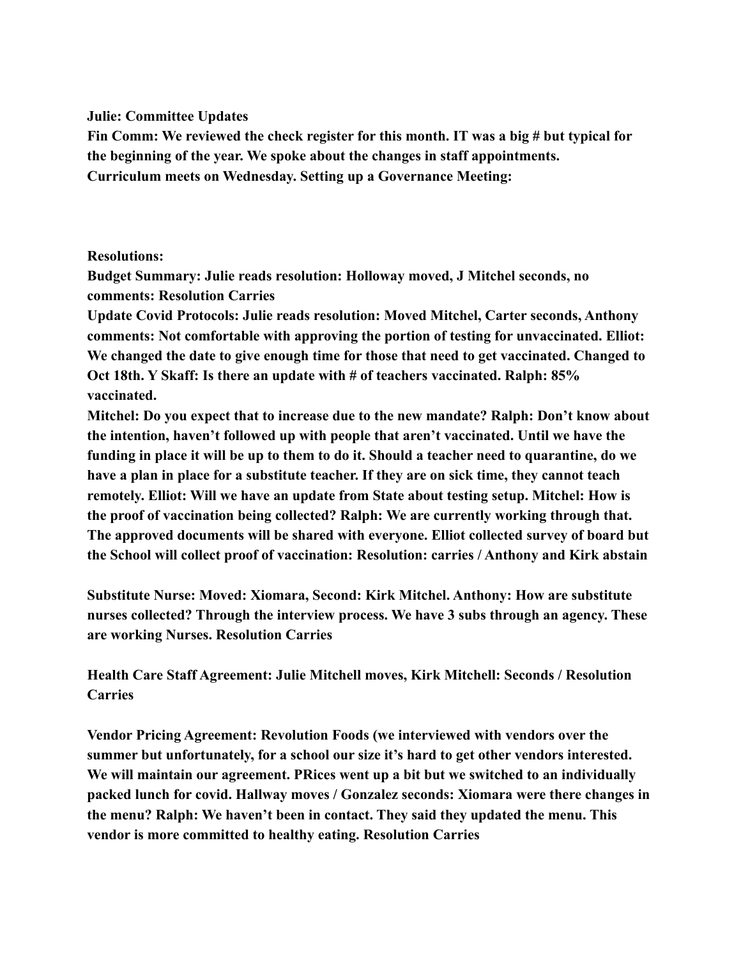**Julie: Committee Updates**

**Fin Comm: We reviewed the check register for this month. IT was a big # but typical for the beginning of the year. We spoke about the changes in staff appointments. Curriculum meets on Wednesday. Setting up a Governance Meeting:**

## **Resolutions:**

**Budget Summary: Julie reads resolution: Holloway moved, J Mitchel seconds, no comments: Resolution Carries**

**Update Covid Protocols: Julie reads resolution: Moved Mitchel, Carter seconds, Anthony comments: Not comfortable with approving the portion of testing for unvaccinated. Elliot: We changed the date to give enough time for those that need to get vaccinated. Changed to Oct 18th. Y Skaff: Is there an update with # of teachers vaccinated. Ralph: 85% vaccinated.**

**Mitchel: Do you expect that to increase due to the new mandate? Ralph: Don't know about the intention, haven't followed up with people that aren't vaccinated. Until we have the funding in place it will be up to them to do it. Should a teacher need to quarantine, do we have a plan in place for a substitute teacher. If they are on sick time, they cannot teach remotely. Elliot: Will we have an update from State about testing setup. Mitchel: How is the proof of vaccination being collected? Ralph: We are currently working through that. The approved documents will be shared with everyone. Elliot collected survey of board but the School will collect proof of vaccination: Resolution: carries / Anthony and Kirk abstain**

**Substitute Nurse: Moved: Xiomara, Second: Kirk Mitchel. Anthony: How are substitute nurses collected? Through the interview process. We have 3 subs through an agency. These are working Nurses. Resolution Carries**

**Health Care Staff Agreement: Julie Mitchell moves, Kirk Mitchell: Seconds / Resolution Carries**

**Vendor Pricing Agreement: Revolution Foods (we interviewed with vendors over the summer but unfortunately, for a school our size it's hard to get other vendors interested. We will maintain our agreement. PRices went up a bit but we switched to an individually packed lunch for covid. Hallway moves / Gonzalez seconds: Xiomara were there changes in the menu? Ralph: We haven't been in contact. They said they updated the menu. This vendor is more committed to healthy eating. Resolution Carries**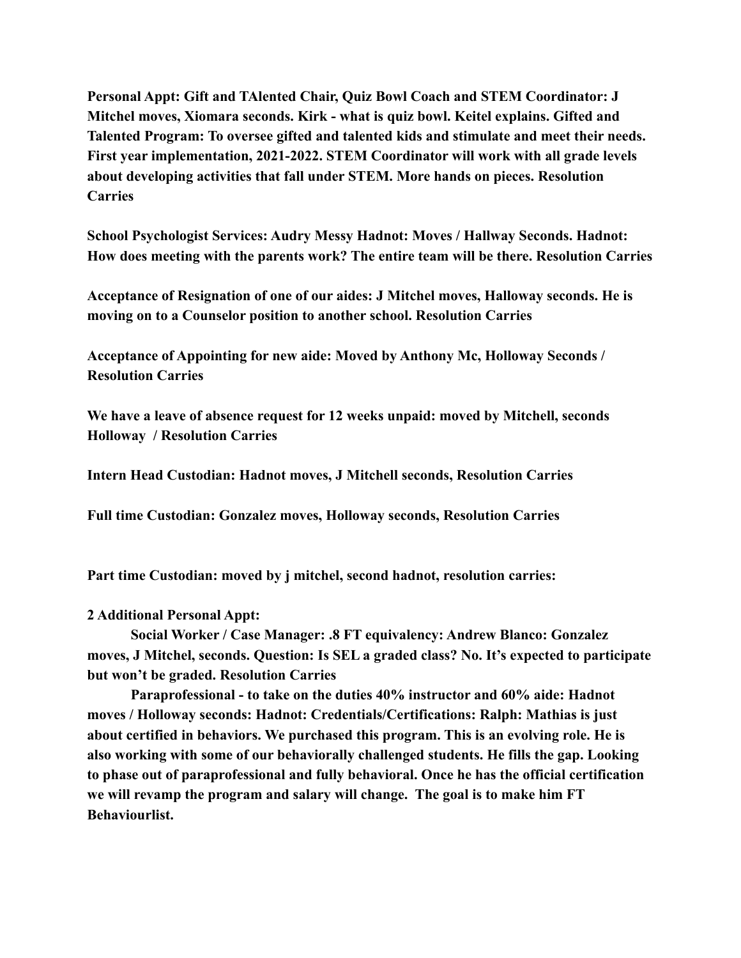**Personal Appt: Gift and TAlented Chair, Quiz Bowl Coach and STEM Coordinator: J Mitchel moves, Xiomara seconds. Kirk - what is quiz bowl. Keitel explains. Gifted and Talented Program: To oversee gifted and talented kids and stimulate and meet their needs. First year implementation, 2021-2022. STEM Coordinator will work with all grade levels about developing activities that fall under STEM. More hands on pieces. Resolution Carries**

**School Psychologist Services: Audry Messy Hadnot: Moves / Hallway Seconds. Hadnot: How does meeting with the parents work? The entire team will be there. Resolution Carries**

**Acceptance of Resignation of one of our aides: J Mitchel moves, Halloway seconds. He is moving on to a Counselor position to another school. Resolution Carries**

**Acceptance of Appointing for new aide: Moved by Anthony Mc, Holloway Seconds / Resolution Carries**

**We have a leave of absence request for 12 weeks unpaid: moved by Mitchell, seconds Holloway / Resolution Carries**

**Intern Head Custodian: Hadnot moves, J Mitchell seconds, Resolution Carries**

**Full time Custodian: Gonzalez moves, Holloway seconds, Resolution Carries**

**Part time Custodian: moved by j mitchel, second hadnot, resolution carries:**

## **2 Additional Personal Appt:**

**Social Worker / Case Manager: .8 FT equivalency: Andrew Blanco: Gonzalez moves, J Mitchel, seconds. Question: Is SEL a graded class? No. It's expected to participate but won't be graded. Resolution Carries**

**Paraprofessional - to take on the duties 40% instructor and 60% aide: Hadnot moves / Holloway seconds: Hadnot: Credentials/Certifications: Ralph: Mathias is just about certified in behaviors. We purchased this program. This is an evolving role. He is also working with some of our behaviorally challenged students. He fills the gap. Looking to phase out of paraprofessional and fully behavioral. Once he has the official certification we will revamp the program and salary will change. The goal is to make him FT Behaviourlist.**